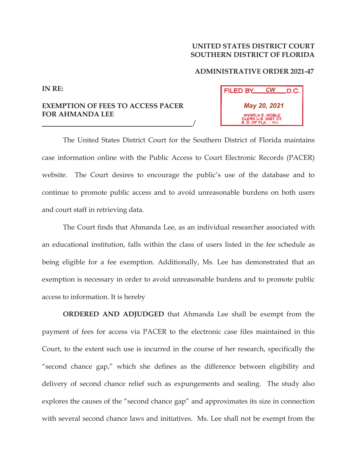## **UNITED STATES DISTRICT COURT SOUTHERN DISTRICT OF FLORIDA**

## **ADMINISTRATIVE ORDER 2021-47**

## **FILED BY CW**  $\_$ D.C. *May 20, 2021* **MIA**

**EXEMPTION OF FEES TO ACCESS PACER FOR AHMANDA LEE**   $\frac{1}{2}$ 

**IN RE:**

The United States District Court for the Southern District of Florida maintains case information online with the Public Access to Court Electronic Records (PACER) website. The Court desires to encourage the public's use of the database and to continue to promote public access and to avoid unreasonable burdens on both users and court staff in retrieving data.

The Court finds that Ahmanda Lee, as an individual researcher associated with an educational institution, falls within the class of users listed in the fee schedule as being eligible for a fee exemption. Additionally, Ms. Lee has demonstrated that an exemption is necessary in order to avoid unreasonable burdens and to promote public access to information. It is hereby

**ORDERED AND ADJUDGED** that Ahmanda Lee shall be exempt from the payment of fees for access via PACER to the electronic case files maintained in this Court, to the extent such use is incurred in the course of her research, specifically the "second chance gap," which she defines as the difference between eligibility and delivery of second chance relief such as expungements and sealing. The study also explores the causes of the "second chance gap" and approximates its size in connection with several second chance laws and initiatives. Ms. Lee shall not be exempt from the